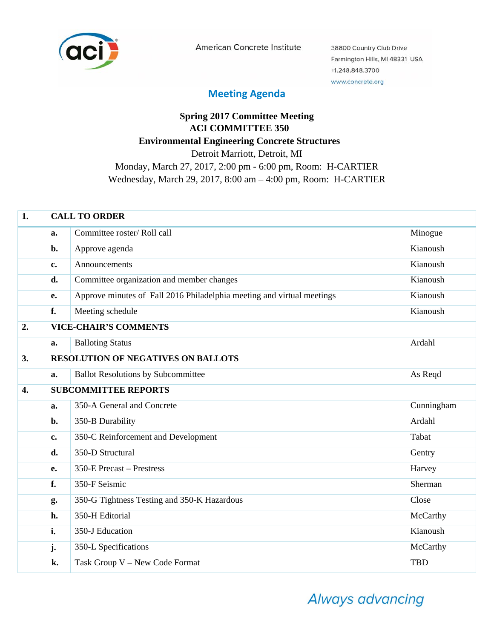

American Concrete Institute

38800 Country Club Drive Farmington Hills, MI 48331 USA +1.248.848.3700 www.concrete.org

## **Meeting Agenda**

## **Spring 2017 Committee Meeting ACI COMMITTEE 350 Environmental Engineering Concrete Structures**  Detroit Marriott, Detroit, MI Monday, March 27, 2017, 2:00 pm - 6:00 pm, Room: H-CARTIER Wednesday, March 29, 2017, 8:00 am – 4:00 pm, Room: H-CARTIER

| 1. | <b>CALL TO ORDER</b> |                                                                        |            |  |
|----|----------------------|------------------------------------------------------------------------|------------|--|
|    | a.                   | Committee roster/Roll call                                             | Minogue    |  |
|    | b.                   | Approve agenda                                                         | Kianoush   |  |
|    | c.                   | Announcements                                                          | Kianoush   |  |
|    | d.                   | Committee organization and member changes                              | Kianoush   |  |
|    | e.                   | Approve minutes of Fall 2016 Philadelphia meeting and virtual meetings | Kianoush   |  |
|    | f.                   | Meeting schedule                                                       | Kianoush   |  |
| 2. |                      | <b>VICE-CHAIR'S COMMENTS</b>                                           |            |  |
|    | a.                   | <b>Balloting Status</b>                                                | Ardahl     |  |
| 3. |                      | <b>RESOLUTION OF NEGATIVES ON BALLOTS</b>                              |            |  |
|    | a.                   | <b>Ballot Resolutions by Subcommittee</b>                              | As Reqd    |  |
| 4. |                      | <b>SUBCOMMITTEE REPORTS</b>                                            |            |  |
|    | a.                   | 350-A General and Concrete                                             | Cunningham |  |
|    | b.                   | 350-B Durability                                                       | Ardahl     |  |
|    | $c_{\bullet}$        | 350-C Reinforcement and Development                                    | Tabat      |  |
|    | d.                   | 350-D Structural                                                       | Gentry     |  |
|    | e.                   | 350-E Precast - Prestress                                              | Harvey     |  |
|    | f.                   | 350-F Seismic                                                          | Sherman    |  |
|    | g.                   | 350-G Tightness Testing and 350-K Hazardous                            | Close      |  |
|    | h.                   | 350-H Editorial                                                        | McCarthy   |  |
|    | i.                   | 350-J Education                                                        | Kianoush   |  |
|    | j.                   | 350-L Specifications                                                   | McCarthy   |  |
|    | k.                   | Task Group V - New Code Format                                         | <b>TBD</b> |  |

Always advancing